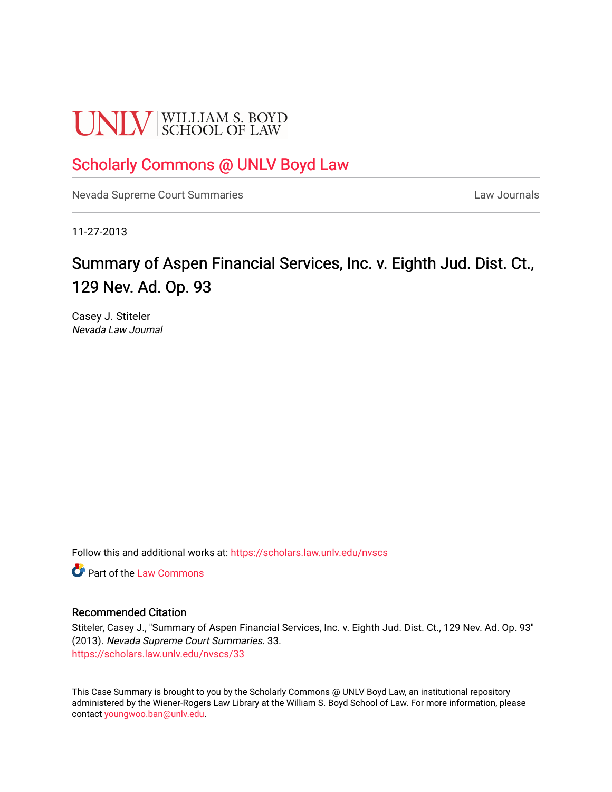# **UNLV** SCHOOL OF LAW

### [Scholarly Commons @ UNLV Boyd Law](https://scholars.law.unlv.edu/)

[Nevada Supreme Court Summaries](https://scholars.law.unlv.edu/nvscs) **Law Journals** Law Journals

11-27-2013

## Summary of Aspen Financial Services, Inc. v. Eighth Jud. Dist. Ct., 129 Nev. Ad. Op. 93

Casey J. Stiteler Nevada Law Journal

Follow this and additional works at: [https://scholars.law.unlv.edu/nvscs](https://scholars.law.unlv.edu/nvscs?utm_source=scholars.law.unlv.edu%2Fnvscs%2F33&utm_medium=PDF&utm_campaign=PDFCoverPages)

**C** Part of the [Law Commons](http://network.bepress.com/hgg/discipline/578?utm_source=scholars.law.unlv.edu%2Fnvscs%2F33&utm_medium=PDF&utm_campaign=PDFCoverPages)

#### Recommended Citation

Stiteler, Casey J., "Summary of Aspen Financial Services, Inc. v. Eighth Jud. Dist. Ct., 129 Nev. Ad. Op. 93" (2013). Nevada Supreme Court Summaries. 33. [https://scholars.law.unlv.edu/nvscs/33](https://scholars.law.unlv.edu/nvscs/33?utm_source=scholars.law.unlv.edu%2Fnvscs%2F33&utm_medium=PDF&utm_campaign=PDFCoverPages) 

This Case Summary is brought to you by the Scholarly Commons @ UNLV Boyd Law, an institutional repository administered by the Wiener-Rogers Law Library at the William S. Boyd School of Law. For more information, please contact [youngwoo.ban@unlv.edu](mailto:youngwoo.ban@unlv.edu).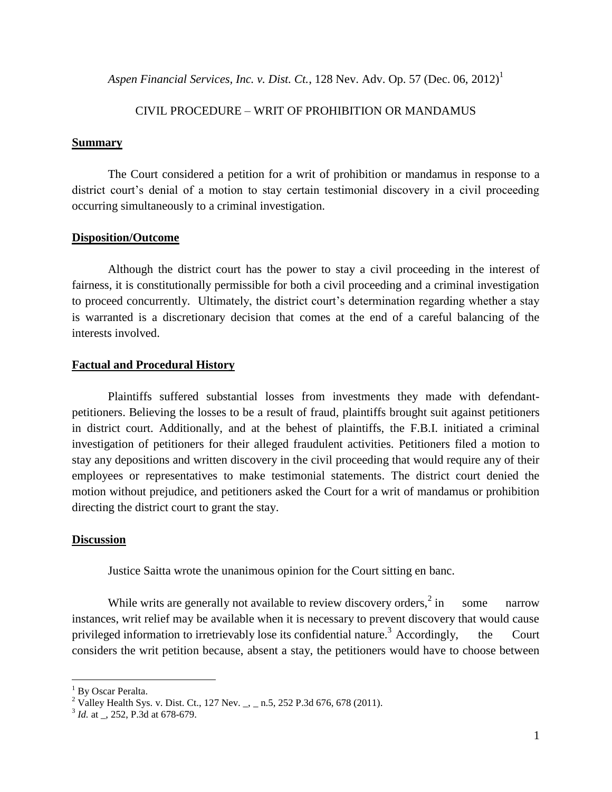*Aspen Financial Services, Inc. v. Dist. Ct.,* 128 Nev. Adv. Op. 57 (Dec. 06, 2012)<sup>1</sup>

#### CIVIL PROCEDURE – WRIT OF PROHIBITION OR MANDAMUS

#### **Summary**

The Court considered a petition for a writ of prohibition or mandamus in response to a district court's denial of a motion to stay certain testimonial discovery in a civil proceeding occurring simultaneously to a criminal investigation.

#### **Disposition/Outcome**

Although the district court has the power to stay a civil proceeding in the interest of fairness, it is constitutionally permissible for both a civil proceeding and a criminal investigation to proceed concurrently. Ultimately, the district court's determination regarding whether a stay is warranted is a discretionary decision that comes at the end of a careful balancing of the interests involved.

#### **Factual and Procedural History**

Plaintiffs suffered substantial losses from investments they made with defendantpetitioners. Believing the losses to be a result of fraud, plaintiffs brought suit against petitioners in district court. Additionally, and at the behest of plaintiffs, the F.B.I. initiated a criminal investigation of petitioners for their alleged fraudulent activities. Petitioners filed a motion to stay any depositions and written discovery in the civil proceeding that would require any of their employees or representatives to make testimonial statements. The district court denied the motion without prejudice, and petitioners asked the Court for a writ of mandamus or prohibition directing the district court to grant the stay.

#### **Discussion**

Justice Saitta wrote the unanimous opinion for the Court sitting en banc.

While writs are generally not available to review discovery orders, $2 \text{ in}$ some narrow instances, writ relief may be available when it is necessary to prevent discovery that would cause privileged information to irretrievably lose its confidential nature.<sup>3</sup> Accordingly, the Court considers the writ petition because, absent a stay, the petitioners would have to choose between

<sup>&</sup>lt;sup>1</sup> By Oscar Peralta.

<sup>&</sup>lt;sup>2</sup> Valley Health Sys. v. Dist. Ct., 127 Nev. \_, \_ n.5, 252 P.3d 676, 678 (2011).

<sup>&</sup>lt;sup>3</sup> *Id.* at \_, 252, P.3d at 678-679.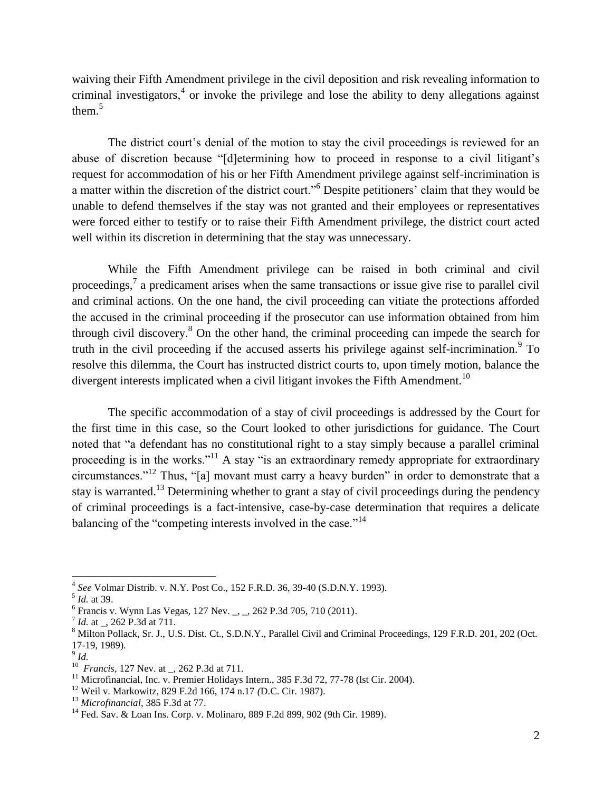waiving their Fifth Amendment privilege in the civil deposition and risk revealing information to criminal investigators,<sup>4</sup> or invoke the privilege and lose the ability to deny allegations against them.<sup>5</sup>

The district court's denial of the motion to stay the civil proceedings is reviewed for an abuse of discretion because "[d]etermining how to proceed in response to a civil litigant's request for accommodation of his or her Fifth Amendment privilege against self-incrimination is a matter within the discretion of the district court."<sup>6</sup> Despite petitioners' claim that they would be unable to defend themselves if the stay was not granted and their employees or representatives were forced either to testify or to raise their Fifth Amendment privilege, the district court acted well within its discretion in determining that the stay was unnecessary.

While the Fifth Amendment privilege can be raised in both criminal and civil proceedings,<sup>7</sup> a predicament arises when the same transactions or issue give rise to parallel civil and criminal actions. On the one hand, the civil proceeding can vitiate the protections afforded the accused in the criminal proceeding if the prosecutor can use information obtained from him through civil discovery.<sup>8</sup> On the other hand, the criminal proceeding can impede the search for truth in the civil proceeding if the accused asserts his privilege against self-incrimination.<sup>9</sup> To resolve this dilemma, the Court has instructed district courts to, upon timely motion, balance the divergent interests implicated when a civil litigant invokes the Fifth Amendment.<sup>10</sup>

The specific accommodation of a stay of civil proceedings is addressed by the Court for the first time in this case, so the Court looked to other jurisdictions for guidance. The Court noted that "a defendant has no constitutional right to a stay simply because a parallel criminal proceeding is in the works."<sup>11</sup> A stay "is an extraordinary remedy appropriate for extraordinary circumstances."<sup>12</sup> Thus, "[a] movant must carry a heavy burden" in order to demonstrate that a stay is warranted.<sup>13</sup> Determining whether to grant a stay of civil proceedings during the pendency of criminal proceedings is a fact-intensive, case-by-case determination that requires a delicate balancing of the "competing interests involved in the case."<sup>14</sup>

 $\overline{a}$ 

<sup>13</sup> *Microfinancial*, 385 F.3d at 77.

<sup>4</sup> *See* Volmar Distrib. v. N.Y. Post Co., 152 F.R.D. 36, 39-40 (S.D.N.Y. 1993).

<sup>5</sup> *Id.* at 39.

<sup>&</sup>lt;sup>6</sup> Francis v. Wynn Las Vegas, 127 Nev. \_, \_, 262 P.3d 705, 710 (2011).

<sup>&</sup>lt;sup>7</sup> *Id.* at \_, 262 P.3d at 711.

<sup>&</sup>lt;sup>8</sup> Milton Pollack, Sr. J., U.S. Dist. Ct., S.D.N.Y., Parallel Civil and Criminal Proceedings, 129 F.R.D. 201, 202 (Oct. 17-19, 1989).

<sup>9</sup> *Id.*

<sup>10</sup> *Francis*, 127 Nev. at \_, 262 P.3d at 711.

<sup>&</sup>lt;sup>11</sup> Microfinancial, Inc. v. Premier Holidays Intern.,  $385$  F.3d 72, 77-78 (1st Cir. 2004).

<sup>12</sup> Weil v. Markowitz, 829 F.2d 166, 174 n.17 *(*D.C. Cir. 1987).

<sup>&</sup>lt;sup>14</sup> Fed. Sav. & Loan Ins. Corp. v. Molinaro, 889 F.2d 899, 902 (9th Cir. 1989).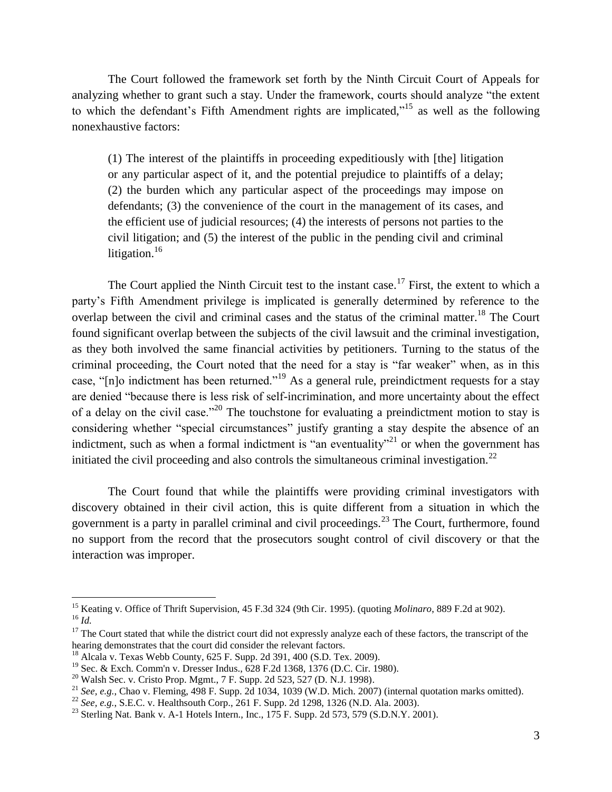The Court followed the framework set forth by the Ninth Circuit Court of Appeals for analyzing whether to grant such a stay. Under the framework, courts should analyze "the extent to which the defendant's Fifth Amendment rights are implicated,"<sup>15</sup> as well as the following nonexhaustive factors:

(1) The interest of the plaintiffs in proceeding expeditiously with [the] litigation or any particular aspect of it, and the potential prejudice to plaintiffs of a delay; (2) the burden which any particular aspect of the proceedings may impose on defendants; (3) the convenience of the court in the management of its cases, and the efficient use of judicial resources; (4) the interests of persons not parties to the civil litigation; and (5) the interest of the public in the pending civil and criminal litigation.<sup>16</sup>

The Court applied the Ninth Circuit test to the instant case.<sup>17</sup> First, the extent to which a party's Fifth Amendment privilege is implicated is generally determined by reference to the overlap between the civil and criminal cases and the status of the criminal matter.<sup>18</sup> The Court found significant overlap between the subjects of the civil lawsuit and the criminal investigation, as they both involved the same financial activities by petitioners. Turning to the status of the criminal proceeding, the Court noted that the need for a stay is "far weaker" when, as in this case, "[n]o indictment has been returned."<sup>19</sup> As a general rule, preindictment requests for a stay are denied "because there is less risk of self-incrimination, and more uncertainty about the effect of a delay on the civil case."<sup>20</sup> The touchstone for evaluating a preindictment motion to stay is considering whether "special circumstances" justify granting a stay despite the absence of an indictment, such as when a formal indictment is "an eventuality"<sup>21</sup> or when the government has initiated the civil proceeding and also controls the simultaneous criminal investigation.<sup>22</sup>

The Court found that while the plaintiffs were providing criminal investigators with discovery obtained in their civil action, this is quite different from a situation in which the government is a party in parallel criminal and civil proceedings.<sup>23</sup> The Court, furthermore, found no support from the record that the prosecutors sought control of civil discovery or that the interaction was improper.

<sup>15</sup> Keating v. Office of Thrift Supervision, 45 F.3d 324 (9th Cir. 1995). (quoting *Molinaro*, 889 F.2d at 902). <sup>16</sup> *Id.*

 $17$  The Court stated that while the district court did not expressly analyze each of these factors, the transcript of the hearing demonstrates that the court did consider the relevant factors.

<sup>18</sup> Alcala v. Texas Webb County, 625 F. Supp. 2d 391, 400 (S.D. Tex. 2009).

<sup>19</sup> Sec. & Exch. Comm'n v. Dresser Indus., 628 F.2d 1368, 1376 (D.C. Cir. 1980).

 $^{20}$  Walsh Sec. v. Cristo Prop. Mgmt., 7 F. Supp. 2d 523, 527 (D. N.J. 1998).

<sup>&</sup>lt;sup>21</sup> *See, e.g.*, Chao v. Fleming, 498 F. Supp. 2d 1034, 1039 (W.D. Mich. 2007) (internal quotation marks omitted).

<sup>22</sup> *See, e.g.*, S.E.C. v. Healthsouth Corp., 261 F. Supp. 2d 1298, 1326 (N.D. Ala. 2003).

<sup>&</sup>lt;sup>23</sup> Sterling Nat. Bank v. A-1 Hotels Intern., Inc.,  $175$  F. Supp. 2d 573, 579 (S.D.N.Y. 2001).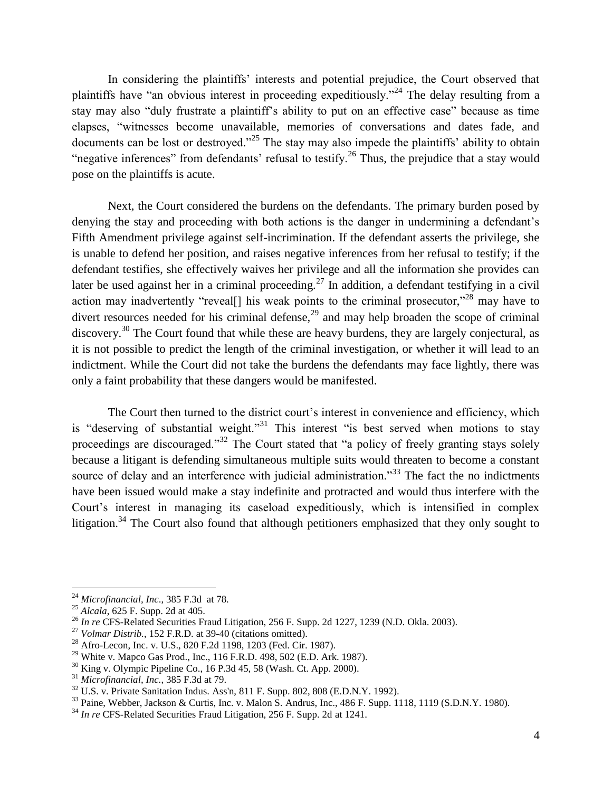In considering the plaintiffs' interests and potential prejudice, the Court observed that plaintiffs have "an obvious interest in proceeding expeditiously."<sup>24</sup> The delay resulting from a stay may also "duly frustrate a plaintiff's ability to put on an effective case" because as time elapses, "witnesses become unavailable, memories of conversations and dates fade, and documents can be lost or destroyed."<sup>25</sup> The stay may also impede the plaintiffs' ability to obtain "negative inferences" from defendants' refusal to testify.<sup>26</sup> Thus, the prejudice that a stay would pose on the plaintiffs is acute.

Next, the Court considered the burdens on the defendants. The primary burden posed by denying the stay and proceeding with both actions is the danger in undermining a defendant's Fifth Amendment privilege against self-incrimination. If the defendant asserts the privilege, she is unable to defend her position, and raises negative inferences from her refusal to testify; if the defendant testifies, she effectively waives her privilege and all the information she provides can later be used against her in a criminal proceeding.<sup>27</sup> In addition, a defendant testifying in a civil action may inadvertently "reveal[] his weak points to the criminal prosecutor,"<sup>28</sup> may have to divert resources needed for his criminal defense,<sup>29</sup> and may help broaden the scope of criminal discovery.<sup>30</sup> The Court found that while these are heavy burdens, they are largely conjectural, as it is not possible to predict the length of the criminal investigation, or whether it will lead to an indictment. While the Court did not take the burdens the defendants may face lightly, there was only a faint probability that these dangers would be manifested.

The Court then turned to the district court's interest in convenience and efficiency, which is "deserving of substantial weight."<sup>31</sup> This interest "is best served when motions to stay proceedings are discouraged."<sup>32</sup> The Court stated that "a policy of freely granting stays solely because a litigant is defending simultaneous multiple suits would threaten to become a constant source of delay and an interference with judicial administration."<sup>33</sup> The fact the no indictments have been issued would make a stay indefinite and protracted and would thus interfere with the Court's interest in managing its caseload expeditiously, which is intensified in complex litigation.<sup>34</sup> The Court also found that although petitioners emphasized that they only sought to

<sup>24</sup> *Microfinancial, Inc*., 385 F.3d at 78.

<sup>25</sup> *Alcala*, 625 F. Supp. 2d at 405.

<sup>&</sup>lt;sup>26</sup> *In re* CFS-Related Securities Fraud Litigation, 256 F. Supp. 2d 1227, 1239 (N.D. Okla. 2003).

<sup>27</sup> *Volmar Distrib.*, 152 F.R.D. at 39-40 (citations omitted).

<sup>28</sup> Afro-Lecon, Inc. v. U.S., 820 F.2d 1198, 1203 (Fed. Cir. 1987).

<sup>29</sup> White v. Mapco Gas Prod., Inc., 116 F.R.D. 498, 502 (E.D. Ark. 1987).

 $30$  King v. Olympic Pipeline Co., 16 P.3d 45, 58 (Wash. Ct. App. 2000).

<sup>31</sup> *Microfinancial, Inc.*, 385 F.3d at 79.

 $32$  U.S. v. Private Sanitation Indus. Ass'n, 811 F. Supp. 802, 808 (E.D.N.Y. 1992).

 $33$  Paine, Webber, Jackson & Curtis, Inc. v. Malon S. Andrus, Inc., 486 F. Supp. 1118, 1119 (S.D.N.Y. 1980).

<sup>&</sup>lt;sup>34</sup> *In re* CFS-Related Securities Fraud Litigation, 256 F. Supp. 2d at 1241.